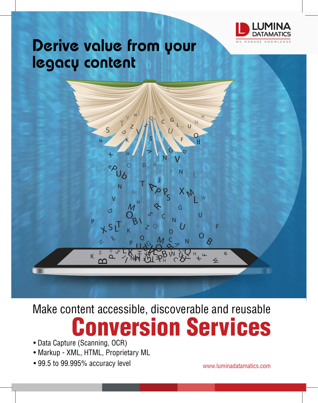

# Derive value from your legacy content

### D D  $\overline{Q}$ IIIL L L Ľ  $\mathbf{\hat{z}}$  $\blacklozenge$ R  $\delta$  $\mathcal{S}_1$  $\beta$  $\rho$   $\rho$ P $\bm{b}$  $\frac{\lambda^2}{2}$ b മ്മ Z ZQ Q Q  $\overline{Q}$  $\overline{\mathcal{Q}}$ Q G G GGG  $\mathfrak{O}$ W  $\overline{z}$  $\nu$  $W$ N  $\boldsymbol{\mathcal{U}}$ N N N N N N  $\overline{\mathcal{B}}$ U U U  $\boldsymbol{U}$ U S  $\mathcal{C}$ S S S S F F ட H H H H hĪ H J  $\checkmark$ K  $K$ <sup>Z</sup>  $2^{\circ}$   $5^{\circ}$  $\overline{\mathcal{F}}$  $\overline{\mathcal{F}}$  $\overline{\mathcal{H}}$ V  $\overline{\mathbf{z}}$  $\overline{\mathbf{z}}$ V V **VL** C C Ķ  $\mathcal{C}$ X O  $\overline{\Theta}$ Ee eP  $\star$  <sup>S</sup> <sup>L</sup> T AP  $\mathbf{\Omega}$  $\overline{\mathcal{M}}$ BO  $\overline{\mathcal{M}}$ MT T 25 C 2 IL Z G G N  $U$   $L_H$  U s F H K C O  $\varsigma$ T

L

H

V

R

Q

S

W

# nversion Services Make content accessible, discoverable and reusable

- Data Capture (Scanning, OCR)
- Markup XML, HTML, Proprietary ML
- 99.5 to 99.995% accuracy level

www.luminadatamatics.com